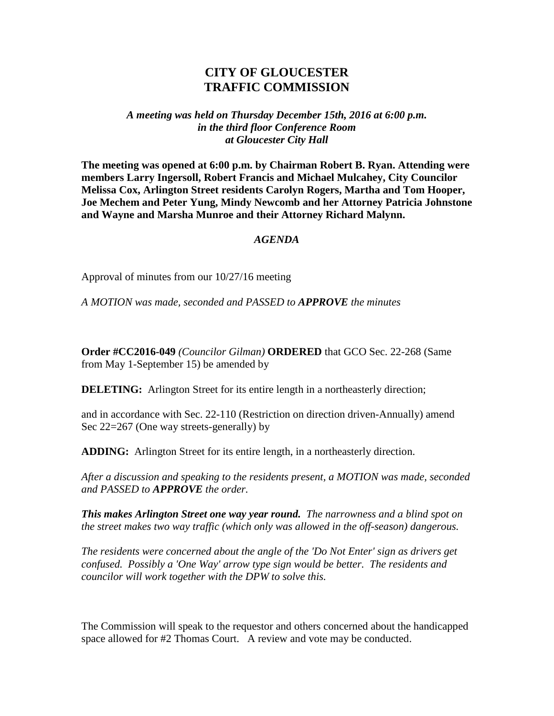## **CITY OF GLOUCESTER TRAFFIC COMMISSION**

*A meeting was held on Thursday December 15th, 2016 at 6:00 p.m. in the third floor Conference Room at Gloucester City Hall*

**The meeting was opened at 6:00 p.m. by Chairman Robert B. Ryan. Attending were members Larry Ingersoll, Robert Francis and Michael Mulcahey, City Councilor Melissa Cox, Arlington Street residents Carolyn Rogers, Martha and Tom Hooper, Joe Mechem and Peter Yung, Mindy Newcomb and her Attorney Patricia Johnstone and Wayne and Marsha Munroe and their Attorney Richard Malynn.**

## *AGENDA*

Approval of minutes from our 10/27/16 meeting

*A MOTION was made, seconded and PASSED to APPROVE the minutes*

**Order #CC2016-049** *(Councilor Gilman)* **ORDERED** that GCO Sec. 22-268 (Same from May 1-September 15) be amended by

**DELETING:** Arlington Street for its entire length in a northeasterly direction;

and in accordance with Sec. 22-110 (Restriction on direction driven-Annually) amend Sec 22=267 (One way streets-generally) by

**ADDING:** Arlington Street for its entire length, in a northeasterly direction.

*After a discussion and speaking to the residents present, a MOTION was made, seconded and PASSED to APPROVE the order.* 

*This makes Arlington Street one way year round. The narrowness and a blind spot on the street makes two way traffic (which only was allowed in the off-season) dangerous.*

*The residents were concerned about the angle of the 'Do Not Enter' sign as drivers get confused. Possibly a 'One Way' arrow type sign would be better. The residents and councilor will work together with the DPW to solve this.*

The Commission will speak to the requestor and others concerned about the handicapped space allowed for #2 Thomas Court. A review and vote may be conducted.